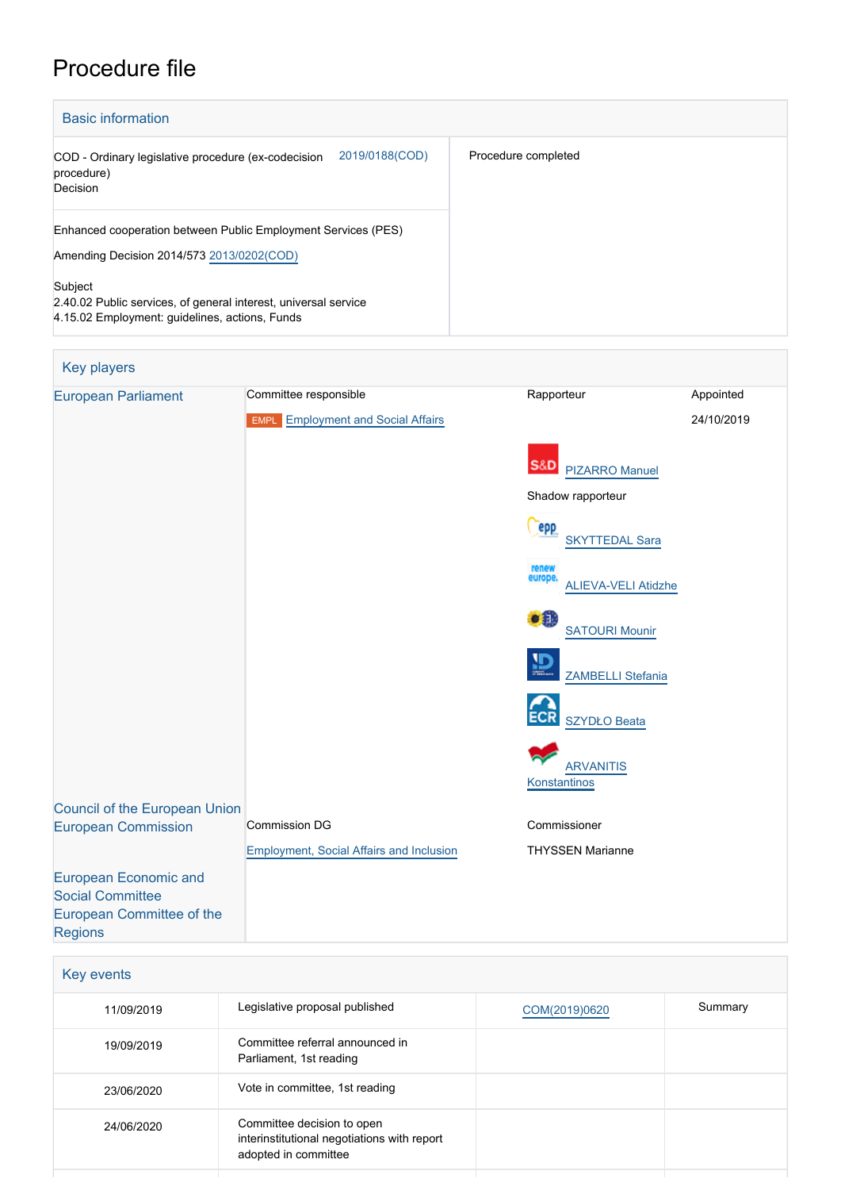# Procedure file

| <b>Basic information</b>                                                                                                                                                                 |                     |
|------------------------------------------------------------------------------------------------------------------------------------------------------------------------------------------|---------------------|
| 2019/0188(COD)<br>COD - Ordinary legislative procedure (ex-codecision<br>procedure)<br>Decision                                                                                          | Procedure completed |
| Enhanced cooperation between Public Employment Services (PES)<br>Amending Decision 2014/573 2013/0202(COD)<br>Subject<br>2.40.02 Public services, of general interest, universal service |                     |
| 4.15.02 Employment: guidelines, actions, Funds                                                                                                                                           |                     |

| <b>Key players</b>                                                                                     |                                                                    |                                                |                         |
|--------------------------------------------------------------------------------------------------------|--------------------------------------------------------------------|------------------------------------------------|-------------------------|
| <b>European Parliament</b>                                                                             | Committee responsible<br><b>EMPL</b> Employment and Social Affairs | Rapporteur                                     | Appointed<br>24/10/2019 |
|                                                                                                        |                                                                    | <b>S&amp;D</b><br><b>PIZARRO Manuel</b>        |                         |
|                                                                                                        |                                                                    | Shadow rapporteur                              |                         |
|                                                                                                        |                                                                    | <b>Pepp</b><br><b>SKYTTEDAL Sara</b>           |                         |
|                                                                                                        |                                                                    | renew<br>europe.<br><b>ALIEVA-VELI Atidzhe</b> |                         |
|                                                                                                        |                                                                    | $\bullet$<br><b>SATOURI Mounir</b>             |                         |
|                                                                                                        |                                                                    | <b>ZAMBELLI Stefania</b>                       |                         |
|                                                                                                        |                                                                    | <b>SZYDŁO Beata</b>                            |                         |
|                                                                                                        |                                                                    | <b>ARVANITIS</b><br>Konstantinos               |                         |
| <b>Council of the European Union</b>                                                                   |                                                                    |                                                |                         |
| <b>European Commission</b>                                                                             | <b>Commission DG</b>                                               | Commissioner                                   |                         |
| <b>European Economic and</b><br><b>Social Committee</b><br>European Committee of the<br><b>Regions</b> | <b>Employment, Social Affairs and Inclusion</b>                    | <b>THYSSEN Marianne</b>                        |                         |

| Key events |                                                                                                   |               |         |
|------------|---------------------------------------------------------------------------------------------------|---------------|---------|
| 11/09/2019 | Legislative proposal published                                                                    | COM(2019)0620 | Summary |
| 19/09/2019 | Committee referral announced in<br>Parliament, 1st reading                                        |               |         |
| 23/06/2020 | Vote in committee, 1st reading                                                                    |               |         |
| 24/06/2020 | Committee decision to open<br>interinstitutional negotiations with report<br>adopted in committee |               |         |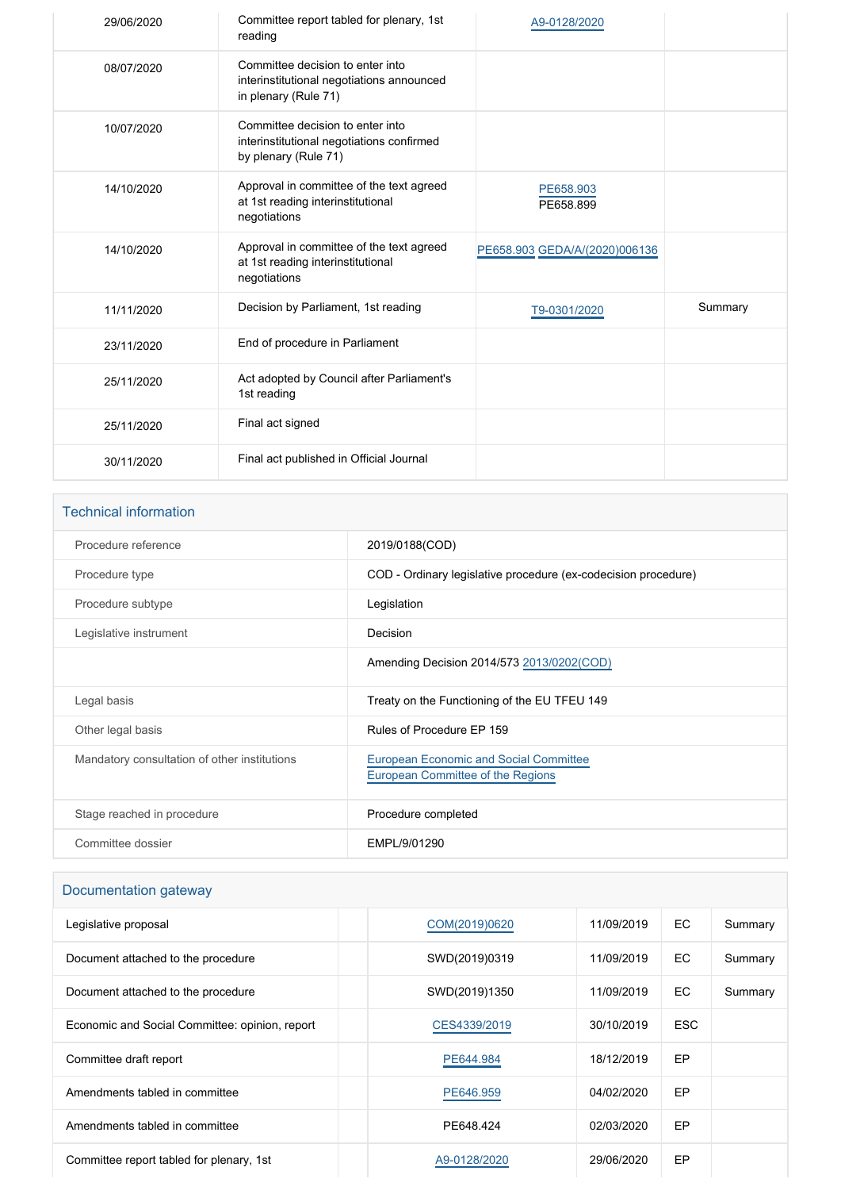| 29/06/2020 | Committee report tabled for plenary, 1st<br>reading                                                   | A9-0128/2020                  |         |
|------------|-------------------------------------------------------------------------------------------------------|-------------------------------|---------|
| 08/07/2020 | Committee decision to enter into<br>interinstitutional negotiations announced<br>in plenary (Rule 71) |                               |         |
| 10/07/2020 | Committee decision to enter into<br>interinstitutional negotiations confirmed<br>by plenary (Rule 71) |                               |         |
| 14/10/2020 | Approval in committee of the text agreed<br>at 1st reading interinstitutional<br>negotiations         | PE658.903<br>PE658.899        |         |
| 14/10/2020 | Approval in committee of the text agreed<br>at 1st reading interinstitutional<br>negotiations         | PE658.903 GEDA/A/(2020)006136 |         |
| 11/11/2020 | Decision by Parliament, 1st reading                                                                   | T9-0301/2020                  | Summary |
| 23/11/2020 | End of procedure in Parliament                                                                        |                               |         |
| 25/11/2020 | Act adopted by Council after Parliament's<br>1st reading                                              |                               |         |
| 25/11/2020 | Final act signed                                                                                      |                               |         |
| 30/11/2020 | Final act published in Official Journal                                                               |                               |         |

## Technical information

| Procedure reference                          | 2019/0188(COD)                                                                     |
|----------------------------------------------|------------------------------------------------------------------------------------|
| Procedure type                               | COD - Ordinary legislative procedure (ex-codecision procedure)                     |
| Procedure subtype                            | Legislation                                                                        |
| Legislative instrument                       | Decision                                                                           |
|                                              | Amending Decision 2014/573 2013/0202(COD)                                          |
| Legal basis                                  | Treaty on the Functioning of the EU TFEU 149                                       |
| Other legal basis                            | Rules of Procedure EP 159                                                          |
| Mandatory consultation of other institutions | <b>European Economic and Social Committee</b><br>European Committee of the Regions |
| Stage reached in procedure                   | Procedure completed                                                                |
| Committee dossier                            | EMPL/9/01290                                                                       |

# Documentation gateway

| Legislative proposal                           | COM(2019)0620 | 11/09/2019 | EC.        | Summary |
|------------------------------------------------|---------------|------------|------------|---------|
| Document attached to the procedure             | SWD(2019)0319 | 11/09/2019 | EC.        | Summary |
| Document attached to the procedure             | SWD(2019)1350 | 11/09/2019 | EC.        | Summary |
| Economic and Social Committee: opinion, report | CES4339/2019  | 30/10/2019 | <b>ESC</b> |         |
| Committee draft report                         | PE644.984     | 18/12/2019 | EP         |         |
| Amendments tabled in committee                 | PE646.959     | 04/02/2020 | EP         |         |
| Amendments tabled in committee                 | PE648.424     | 02/03/2020 | EP         |         |
| Committee report tabled for plenary, 1st       | A9-0128/2020  | 29/06/2020 | EP         |         |
|                                                |               |            |            |         |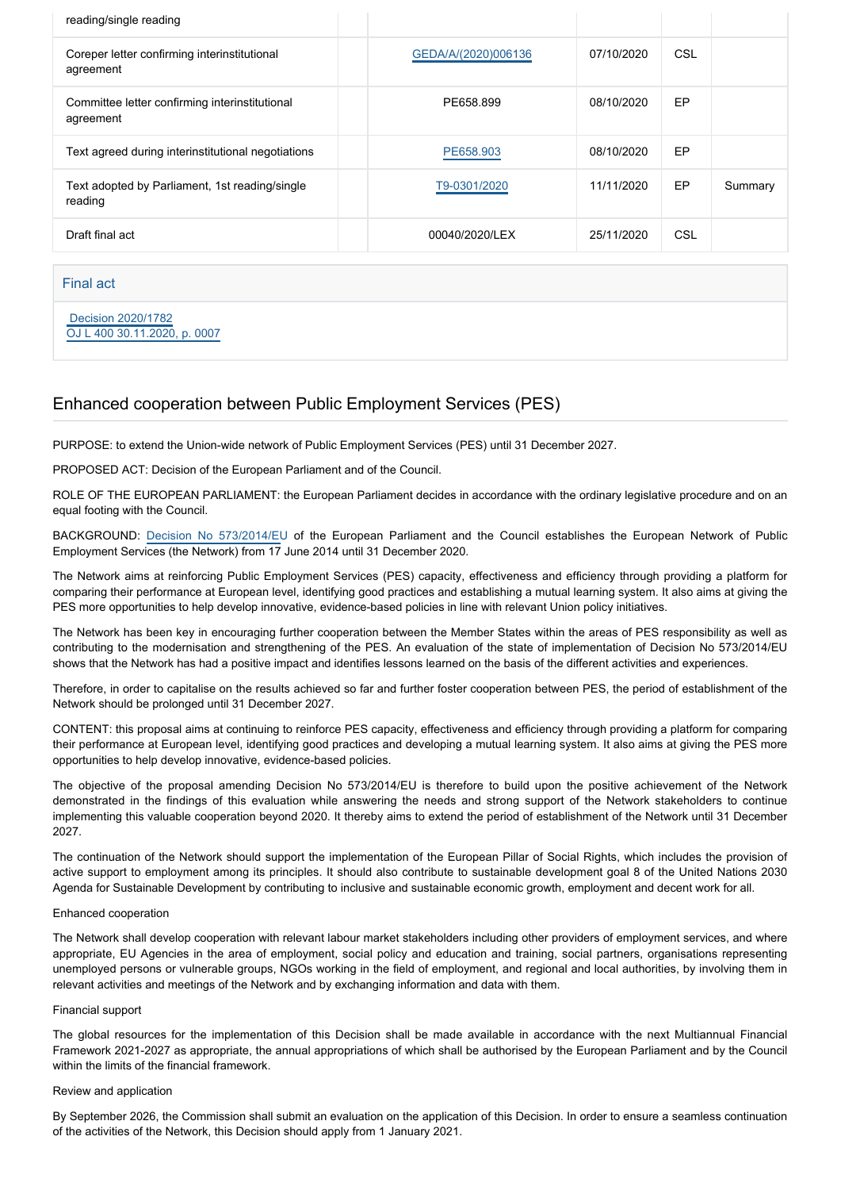| reading/single reading                                      |                     |            |            |         |
|-------------------------------------------------------------|---------------------|------------|------------|---------|
| Coreper letter confirming interinstitutional<br>agreement   | GEDA/A/(2020)006136 | 07/10/2020 | <b>CSL</b> |         |
| Committee letter confirming interinstitutional<br>agreement | PE658.899           | 08/10/2020 | EP         |         |
| Text agreed during interinstitutional negotiations          | PE658,903           | 08/10/2020 | EP         |         |
| Text adopted by Parliament, 1st reading/single<br>reading   | T9-0301/2020        | 11/11/2020 | EP         | Summary |
| Draft final act                                             | 00040/2020/LEX      | 25/11/2020 | CSL        |         |

Final act

 [Decision 2020/1782](https://eur-lex.europa.eu/smartapi/cgi/sga_doc?smartapi!celexplus!prod!CELEXnumdoc&lg=EN&numdoc=32020D1782) [OJ L 400 30.11.2020, p. 0007](https://eur-lex.europa.eu/legal-content/EN/TXT/?uri=OJ:L:2020:400:TOC)

# Enhanced cooperation between Public Employment Services (PES)

PURPOSE: to extend the Union-wide network of Public Employment Services (PES) until 31 December 2027.

PROPOSED ACT: Decision of the European Parliament and of the Council.

ROLE OF THE EUROPEAN PARLIAMENT: the European Parliament decides in accordance with the ordinary legislative procedure and on an equal footing with the Council.

BACKGROUND: [Decision No 573/2014/EU](https://eur-lex.europa.eu/legal-content/EN/TXT/?uri=uriserv%3AOJ.L_.2014.159.01.0032.01.ENG) of the European Parliament and the Council establishes the European Network of Public Employment Services (the Network) from 17 June 2014 until 31 December 2020.

The Network aims at reinforcing Public Employment Services (PES) capacity, effectiveness and efficiency through providing a platform for comparing their performance at European level, identifying good practices and establishing a mutual learning system. It also aims at giving the PES more opportunities to help develop innovative, evidence-based policies in line with relevant Union policy initiatives.

The Network has been key in encouraging further cooperation between the Member States within the areas of PES responsibility as well as contributing to the modernisation and strengthening of the PES. An evaluation of the state of implementation of Decision No 573/2014/EU shows that the Network has had a positive impact and identifies lessons learned on the basis of the different activities and experiences.

Therefore, in order to capitalise on the results achieved so far and further foster cooperation between PES, the period of establishment of the Network should be prolonged until 31 December 2027.

CONTENT: this proposal aims at continuing to reinforce PES capacity, effectiveness and efficiency through providing a platform for comparing their performance at European level, identifying good practices and developing a mutual learning system. It also aims at giving the PES more opportunities to help develop innovative, evidence-based policies.

The objective of the proposal amending Decision No 573/2014/EU is therefore to build upon the positive achievement of the Network demonstrated in the findings of this evaluation while answering the needs and strong support of the Network stakeholders to continue implementing this valuable cooperation beyond 2020. It thereby aims to extend the period of establishment of the Network until 31 December 2027.

The continuation of the Network should support the implementation of the European Pillar of Social Rights, which includes the provision of active support to employment among its principles. It should also contribute to sustainable development goal 8 of the United Nations 2030 Agenda for Sustainable Development by contributing to inclusive and sustainable economic growth, employment and decent work for all.

### Enhanced cooperation

The Network shall develop cooperation with relevant labour market stakeholders including other providers of employment services, and where appropriate, EU Agencies in the area of employment, social policy and education and training, social partners, organisations representing unemployed persons or vulnerable groups, NGOs working in the field of employment, and regional and local authorities, by involving them in relevant activities and meetings of the Network and by exchanging information and data with them.

### Financial support

The global resources for the implementation of this Decision shall be made available in accordance with the next Multiannual Financial Framework 2021-2027 as appropriate, the annual appropriations of which shall be authorised by the European Parliament and by the Council within the limits of the financial framework.

### Review and application

By September 2026, the Commission shall submit an evaluation on the application of this Decision. In order to ensure a seamless continuation of the activities of the Network, this Decision should apply from 1 January 2021.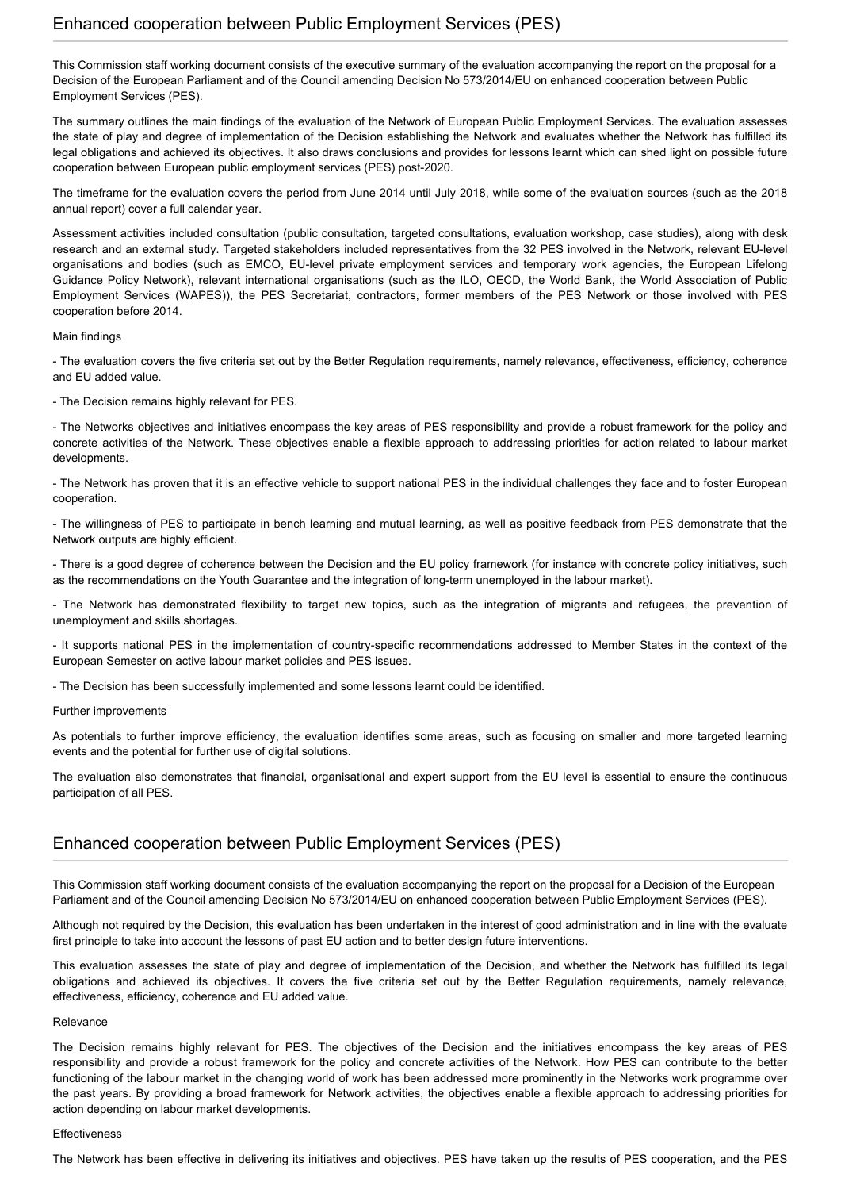This Commission staff working document consists of the executive summary of the evaluation accompanying the report on the proposal for a Decision of the European Parliament and of the Council amending Decision No 573/2014/EU on enhanced cooperation between Public Employment Services (PES).

The summary outlines the main findings of the evaluation of the Network of European Public Employment Services. The evaluation assesses the state of play and degree of implementation of the Decision establishing the Network and evaluates whether the Network has fulfilled its legal obligations and achieved its objectives. It also draws conclusions and provides for lessons learnt which can shed light on possible future cooperation between European public employment services (PES) post-2020.

The timeframe for the evaluation covers the period from June 2014 until July 2018, while some of the evaluation sources (such as the 2018 annual report) cover a full calendar year.

Assessment activities included consultation (public consultation, targeted consultations, evaluation workshop, case studies), along with desk research and an external study. Targeted stakeholders included representatives from the 32 PES involved in the Network, relevant EU-level organisations and bodies (such as EMCO, EU-level private employment services and temporary work agencies, the European Lifelong Guidance Policy Network), relevant international organisations (such as the ILO, OECD, the World Bank, the World Association of Public Employment Services (WAPES)), the PES Secretariat, contractors, former members of the PES Network or those involved with PES cooperation before 2014.

#### Main findings

- The evaluation covers the five criteria set out by the Better Regulation requirements, namely relevance, effectiveness, efficiency, coherence and EU added value.

- The Decision remains highly relevant for PES.

- The Networks objectives and initiatives encompass the key areas of PES responsibility and provide a robust framework for the policy and concrete activities of the Network. These objectives enable a flexible approach to addressing priorities for action related to labour market developments.

- The Network has proven that it is an effective vehicle to support national PES in the individual challenges they face and to foster European cooperation.

- The willingness of PES to participate in bench learning and mutual learning, as well as positive feedback from PES demonstrate that the Network outputs are highly efficient.

- There is a good degree of coherence between the Decision and the EU policy framework (for instance with concrete policy initiatives, such as the recommendations on the Youth Guarantee and the integration of long-term unemployed in the labour market).

- The Network has demonstrated flexibility to target new topics, such as the integration of migrants and refugees, the prevention of unemployment and skills shortages.

- It supports national PES in the implementation of country-specific recommendations addressed to Member States in the context of the European Semester on active labour market policies and PES issues.

- The Decision has been successfully implemented and some lessons learnt could be identified.

### Further improvements

As potentials to further improve efficiency, the evaluation identifies some areas, such as focusing on smaller and more targeted learning events and the potential for further use of digital solutions.

The evaluation also demonstrates that financial, organisational and expert support from the EU level is essential to ensure the continuous participation of all PES.

# Enhanced cooperation between Public Employment Services (PES)

This Commission staff working document consists of the evaluation accompanying the report on the proposal for a Decision of the European Parliament and of the Council amending Decision No 573/2014/EU on enhanced cooperation between Public Employment Services (PES).

Although not required by the Decision, this evaluation has been undertaken in the interest of good administration and in line with the evaluate first principle to take into account the lessons of past EU action and to better design future interventions.

This evaluation assesses the state of play and degree of implementation of the Decision, and whether the Network has fulfilled its legal obligations and achieved its objectives. It covers the five criteria set out by the Better Regulation requirements, namely relevance, effectiveness, efficiency, coherence and EU added value.

#### Relevance

The Decision remains highly relevant for PES. The objectives of the Decision and the initiatives encompass the key areas of PES responsibility and provide a robust framework for the policy and concrete activities of the Network. How PES can contribute to the better functioning of the labour market in the changing world of work has been addressed more prominently in the Networks work programme over the past years. By providing a broad framework for Network activities, the objectives enable a flexible approach to addressing priorities for action depending on labour market developments.

### Effectiveness

The Network has been effective in delivering its initiatives and objectives. PES have taken up the results of PES cooperation, and the PES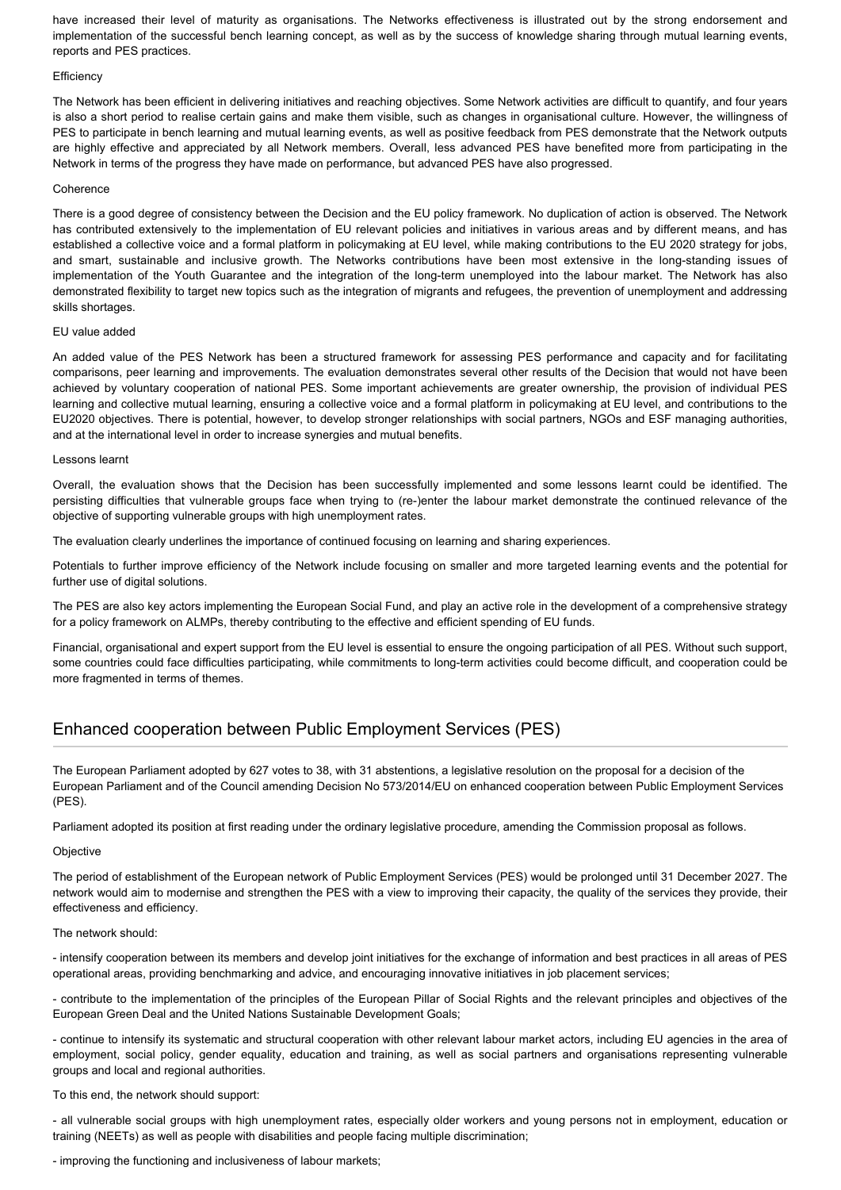have increased their level of maturity as organisations. The Networks effectiveness is illustrated out by the strong endorsement and implementation of the successful bench learning concept, as well as by the success of knowledge sharing through mutual learning events, reports and PES practices.

#### **Efficiency**

The Network has been efficient in delivering initiatives and reaching objectives. Some Network activities are difficult to quantify, and four years is also a short period to realise certain gains and make them visible, such as changes in organisational culture. However, the willingness of PES to participate in bench learning and mutual learning events, as well as positive feedback from PES demonstrate that the Network outputs are highly effective and appreciated by all Network members. Overall, less advanced PES have benefited more from participating in the Network in terms of the progress they have made on performance, but advanced PES have also progressed.

#### Coherence

There is a good degree of consistency between the Decision and the EU policy framework. No duplication of action is observed. The Network has contributed extensively to the implementation of EU relevant policies and initiatives in various areas and by different means, and has established a collective voice and a formal platform in policymaking at EU level, while making contributions to the EU 2020 strategy for jobs, and smart, sustainable and inclusive growth. The Networks contributions have been most extensive in the long-standing issues of implementation of the Youth Guarantee and the integration of the long-term unemployed into the labour market. The Network has also demonstrated flexibility to target new topics such as the integration of migrants and refugees, the prevention of unemployment and addressing skills shortages.

#### EU value added

An added value of the PES Network has been a structured framework for assessing PES performance and capacity and for facilitating comparisons, peer learning and improvements. The evaluation demonstrates several other results of the Decision that would not have been achieved by voluntary cooperation of national PES. Some important achievements are greater ownership, the provision of individual PES learning and collective mutual learning, ensuring a collective voice and a formal platform in policymaking at EU level, and contributions to the EU2020 objectives. There is potential, however, to develop stronger relationships with social partners, NGOs and ESF managing authorities, and at the international level in order to increase synergies and mutual benefits.

#### Lessons learnt

Overall, the evaluation shows that the Decision has been successfully implemented and some lessons learnt could be identified. The persisting difficulties that vulnerable groups face when trying to (re-)enter the labour market demonstrate the continued relevance of the objective of supporting vulnerable groups with high unemployment rates.

The evaluation clearly underlines the importance of continued focusing on learning and sharing experiences.

Potentials to further improve efficiency of the Network include focusing on smaller and more targeted learning events and the potential for further use of digital solutions.

The PES are also key actors implementing the European Social Fund, and play an active role in the development of a comprehensive strategy for a policy framework on ALMPs, thereby contributing to the effective and efficient spending of EU funds.

Financial, organisational and expert support from the EU level is essential to ensure the ongoing participation of all PES. Without such support, some countries could face difficulties participating, while commitments to long-term activities could become difficult, and cooperation could be more fragmented in terms of themes.

# Enhanced cooperation between Public Employment Services (PES)

The European Parliament adopted by 627 votes to 38, with 31 abstentions, a legislative resolution on the proposal for a decision of the European Parliament and of the Council amending Decision No 573/2014/EU on enhanced cooperation between Public Employment Services (PES).

Parliament adopted its position at first reading under the ordinary legislative procedure, amending the Commission proposal as follows.

#### **Objective**

The period of establishment of the European network of Public Employment Services (PES) would be prolonged until 31 December 2027. The network would aim to modernise and strengthen the PES with a view to improving their capacity, the quality of the services they provide, their effectiveness and efficiency.

#### The network should:

- intensify cooperation between its members and develop joint initiatives for the exchange of information and best practices in all areas of PES operational areas, providing benchmarking and advice, and encouraging innovative initiatives in job placement services;

- contribute to the implementation of the principles of the European Pillar of Social Rights and the relevant principles and objectives of the European Green Deal and the United Nations Sustainable Development Goals;

- continue to intensify its systematic and structural cooperation with other relevant labour market actors, including EU agencies in the area of employment, social policy, gender equality, education and training, as well as social partners and organisations representing vulnerable groups and local and regional authorities.

To this end, the network should support:

- all vulnerable social groups with high unemployment rates, especially older workers and young persons not in employment, education or training (NEETs) as well as people with disabilities and people facing multiple discrimination;

- improving the functioning and inclusiveness of labour markets;